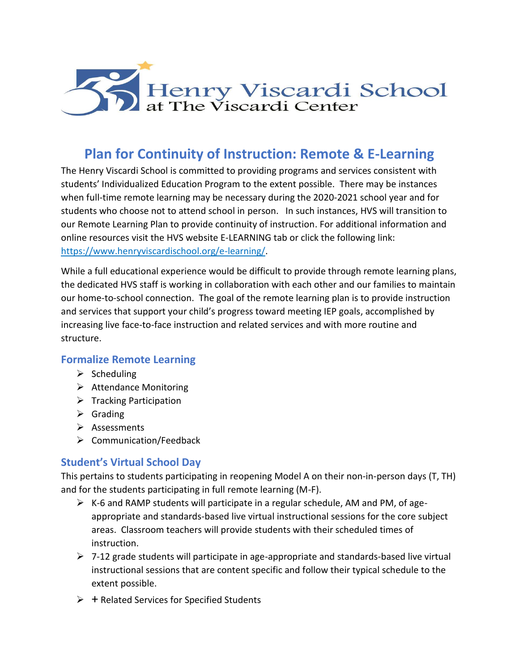

# **Plan for Continuity of Instruction: Remote & E-Learning**

 The Henry Viscardi School is committed to providing programs and services consistent with students' Individualized Education Program to the extent possible. There may be instances when full-time remote learning may be necessary during the 2020-2021 school year and for students who choose not to attend school in person. In such instances, HVS will transition to our Remote Learning Plan to provide continuity of instruction. For additional information and online resources visit the HVS website E-LEARNING tab or click the following link: [https://www.henryviscardischool.org/e-learning/.](https://www.henryviscardischool.org/e-learning/)

 While a full educational experience would be difficult to provide through remote learning plans, the dedicated HVS staff is working in collaboration with each other and our families to maintain our home-to-school connection. The goal of the remote learning plan is to provide instruction and services that support your child's progress toward meeting IEP goals, accomplished by increasing live face-to-face instruction and related services and with more routine and sup<br>ce-t<br>**not**<br>g<br>ce N<br>part<br>nts<br>cati structure.

### **Formalize Remote Learning**

- $\triangleright$  Scheduling
- ➢ Attendance Monitoring
- ➢ Tracking Participation
- ➢ Grading
- ➢ Assessments
- ➢ Communication/Feedback

# **Student's Virtual School Day**

 This pertains to students participating in reopening Model A on their non-in-person days (T, TH) and for the students participating in full remote learning (M-F).

- ➢ K-6 and RAMP students will participate in a regular schedule, AM and PM, of age- appropriate and standards-based live virtual instructional sessions for the core subject areas. Classroom teachers will provide students with their scheduled times of instruction.
- ➢ 7-12 grade students will participate in age-appropriate and standards-based live virtual instructional sessions that are content specific and follow their typical schedule to the extent possible.
- ➢ + Related Services for Specified Students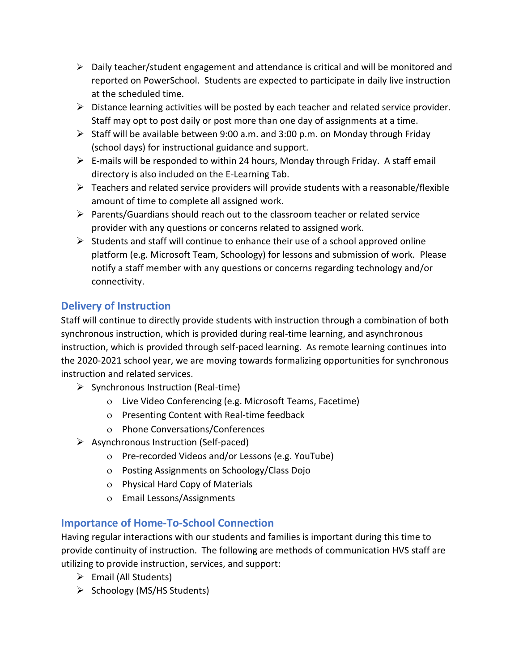- ➢ Daily teacher/student engagement and attendance is critical and will be monitored and reported on PowerSchool. Students are expected to participate in daily live instruction at the scheduled time.
- ➢ Distance learning activities will be posted by each teacher and related service provider. Staff may opt to post daily or post more than one day of assignments at a time.
- ➢ Staff will be available between 9:00 a.m. and 3:00 p.m. on Monday through Friday (school days) for instructional guidance and support.
- $\triangleright$  E-mails will be responded to within 24 hours, Monday through Friday. A staff email directory is also included on the E-Learning Tab.
- ➢ Teachers and related service providers will provide students with a reasonable/flexible amount of time to complete all assigned work.
- ➢ Parents/Guardians should reach out to the classroom teacher or related service provider with any questions or concerns related to assigned work.
- $\triangleright$  Students and staff will continue to enhance their use of a school approved online platform (e.g. Microsoft Team, Schoology) for lessons and submission of work. Please notify a staff member with any questions or concerns regarding technology and/or connectivity.

# **Delivery of Instruction**

 Staff will continue to directly provide students with instruction through a combination of both synchronous instruction, which is provided during real-time learning, and asynchronous instruction, which is provided through self-paced learning. As remote learning continues into the 2020-2021 school year, we are moving towards formalizing opportunities for synchronous instruction and related services.

- ➢ Synchronous Instruction (Real-time)
	- Live Video Conferencing (e.g. Microsoft Teams, Facetime)
	- o Presenting Content with Real-time feedback
	- Phone Conversations/Conferences
- ➢ Asynchronous Instruction (Self-paced)
	- Pre-recorded Videos and/or Lessons (e.g. YouTube)
	- Posting Assignments on Schoology/Class Dojo
	- Physical Hard Copy of Materials
	- Email Lessons/Assignments

# **Importance of Home-To-School Connection**

 Having regular interactions with our students and families is important during this time to provide continuity of instruction. The following are methods of communication HVS staff are utilizing to provide instruction, services, and support:

- ➢ Email (All Students)
- ➢ Schoology (MS/HS Students)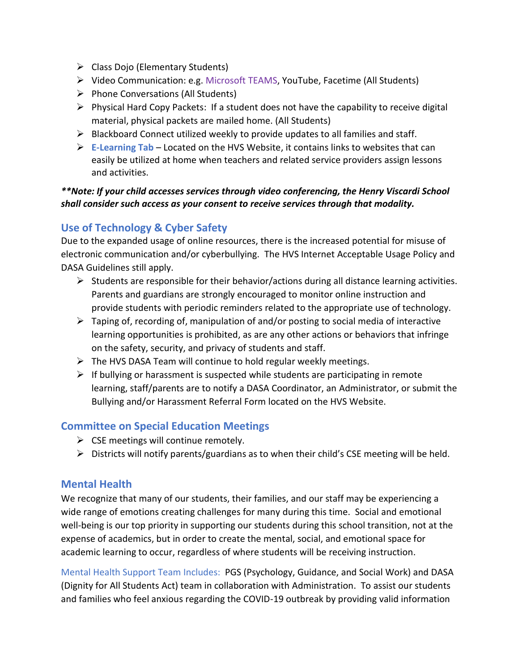- 
- ➢ Video Communication: e.g. Microsoft TEAMS, YouTube, Facetime (All Students)
- ➢ Phone Conversations (All Students)
- ➢ Physical Hard Copy Packets: If a student does not have the capability to receive digital material, physical packets are mailed home. (All Students)
- $\triangleright$  Blackboard Connect utilized weekly to provide updates to all families and staff.
- ➢ **[E-Learning Tab](https://www.henryviscardischool.org/e-learning/)**  Located on the HVS Website, it contains links to websites that can easily be utilized at home when teachers and related service providers assign lessons and activities.

### *\*\*Note: If your child accesses services through video conferencing, the Henry Viscardi School shall consider such access as your consent to receive services through that modality.*

# **Use of Technology & Cyber Safety**

 Due to the expanded usage of online resources, there is the increased potential for misuse of electronic communication and/or cyberbullying. The HVS Internet Acceptable Usage Policy and DASA Guidelines still apply.

- $\triangleright$  Students are responsible for their behavior/actions during all distance learning activities. Parents and guardians are strongly encouraged to monitor online instruction and provide students with periodic reminders related to the appropriate use of technology.
- $\triangleright$  Taping of, recording of, manipulation of and/or posting to social media of interactive learning opportunities is prohibited, as are any other actions or behaviors that infringe on the safety, security, and privacy of students and staff. internal Students (Elementary Students)<br>
→ Video Communication: e.g. Micro:<br>
→ Phone Conversations (All Students<br>
→ Physical Hard Copy Packets: If a s<br>
material, physical packets are mainting and Copy Packets: If a s<br>
→ B
- $\triangleright$  The HVS DASA Team will continue to hold regular weekly meetings.
- $\triangleright$  If bullying or harassment is suspected while students are participating in remote learning, staff/parents are to notify a DASA Coordinator, an Administrator, or submit the Bullying and/or Harassment Referral Form located on the HVS Website.

# **Committee on Special Education Meetings**

- $\triangleright$  CSE meetings will continue remotely.
- $\triangleright$  Districts will notify parents/guardians as to when their child's CSE meeting will be held.

### **Mental Health**

 We recognize that many of our students, their families, and our staff may be experiencing a wide range of emotions creating challenges for many during this time. Social and emotional well-being is our top priority in supporting our students during this school transition, not at the expense of academics, but in order to create the mental, social, and emotional space for academic learning to occur, regardless of where students will be receiving instruction.

 Mental Health Support Team Includes: PGS (Psychology, Guidance, and Social Work) and DASA (Dignity for All Students Act) team in collaboration with Administration. To assist our students and families who feel anxious regarding the COVID-19 outbreak by providing valid information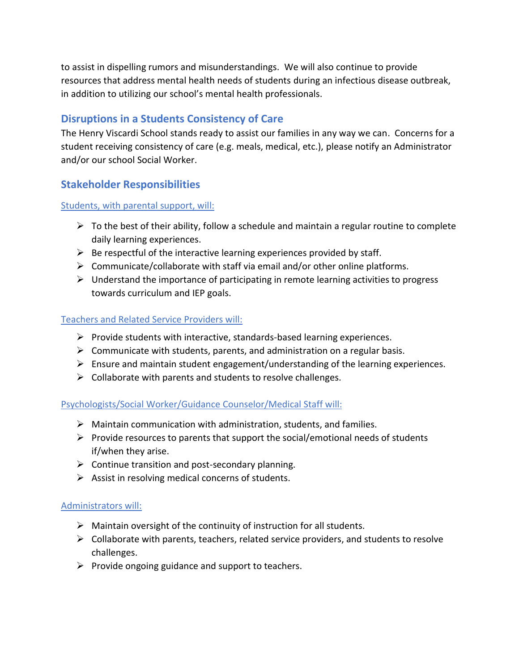to assist in dispelling rumors and misunderstandings. We will also continue to provide resources that address mental health needs of students during an infectious disease outbreak, in addition to utilizing our school's mental health professionals.

# **Disruptions in a Students Consistency of Care**

 The Henry Viscardi School stands ready to assist our families in any way we can. Concerns for a student receiving consistency of care (e.g. meals, medical, etc.), please notify an Administrator and/or our school Social Worker.

# **Stakeholder Responsibilities**

### Students, with parental support, will:

- $\triangleright$  To the best of their ability, follow a schedule and maintain a regular routine to complete daily learning experiences.
- $\triangleright$  Be respectful of the interactive learning experiences provided by staff.
- $\triangleright$  Communicate/collaborate with staff via email and/or other online platforms.
- $\triangleright$  Understand the importance of participating in remote learning activities to progress towards curriculum and IEP goals.

### Teachers and Related Service Providers will:

- ➢ Provide students with interactive, standards-based learning experiences.
- $\triangleright$  Communicate with students, parents, and administration on a regular basis.
- $\triangleright$  Ensure and maintain student engagement/understanding of the learning experiences.
- $\triangleright$  Collaborate with parents and students to resolve challenges.

### Psychologists/Social Worker/Guidance Counselor/Medical Staff will:

- $\triangleright$  Maintain communication with administration, students, and families.
- $\triangleright$  Provide resources to parents that support the social/emotional needs of students if/when they arise.
- $\triangleright$  Continue transition and post-secondary planning.
- $\triangleright$  Assist in resolving medical concerns of students.

### Administrators will:

- $\triangleright$  Maintain oversight of the continuity of instruction for all students.
- $\triangleright$  Collaborate with parents, teachers, related service providers, and students to resolve challenges.
- $\triangleright$  Provide ongoing guidance and support to teachers.